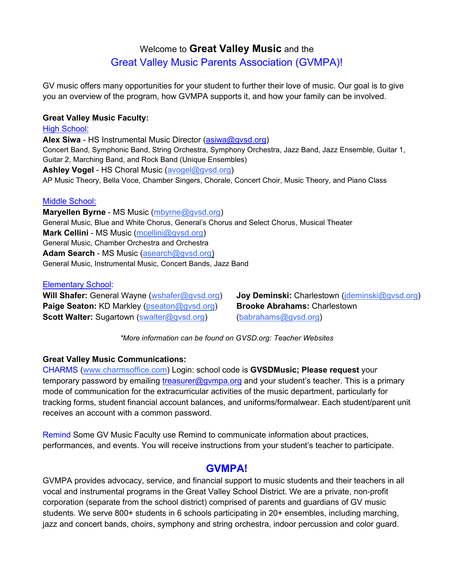# Welcome to **Great Valley Music** and the Great Valley Music Parents Association (GVMPA)!

GV music offers many opportunities for your student to further their love of music. Our goal is to give you an overview of the program, how GVMPA supports it, and how your family can be involved.

## **Great Valley Music Faculty:**

High School: **Alex Siwa** - HS Instrumental Music Director [\(asiwa@gvsd.org\)](about:blank) Concert Band, Symphonic Band, String Orchestra, Symphony Orchestra, Jazz Band, Jazz Ensemble, Guitar 1, Guitar 2, Marching Band, and Rock Band (Unique Ensembles) **Ashley Vogel** - HS Choral Music [\(avogel@gvsd.org\)](about:blank) AP Music Theory, Bella Voce, Chamber Singers, Chorale, Concert Choir, Music Theory, and Piano Class

## Middle School:

**Maryellen Byrne** - MS Music [\(mbyrne@gvsd.org\)](about:blank) General Music, Blue and White Chorus, General's Chorus and Select Chorus, Musical Theater **Mark Cellini** - MS Music [\(mcellini@gvsd.org\)](about:blank) General Music, Chamber Orchestra and Orchestra **Adam Search** - MS Music [\(asearch@gvsd.org\)](about:blank) General Music, Instrumental Music, Concert Bands, Jazz Band

### Elementary School:

**Will Shafer:** General Wayne [\(wshafer@gvsd.org\)](about:blank) **Paige Seaton:** KD Markley [\(pseaton@gvsd.org\)](about:blank) **Scott Walter:** Sugartown [\(swalter@gvsd.org\)](about:blank)

**Joy Deminski:** Charlestown (*jdeminski@gvsd.org*) **Brooke Abrahams:** Charlestown [\(babrahams@gvsd.org\)](about:blank)

*\*More information can be found on GVSD.org: Teacher Websites*

### **Great Valley Music Communications:**

CHARMS [\(www.charmsoffice.com\)](about:blank) Login: school code is **GVSDMusic; Please request** your temporary password by emailing treasurer@gympa.org and your student's teacher. This is a primary mode of communication for the extracurricular activities of the music department, particularly for tracking forms, student financial account balances, and uniforms/formalwear. Each student/parent unit receives an account with a common password.

Remind Some GV Music Faculty use Remind to communicate information about practices, performances, and events. You will receive instructions from your student's teacher to participate.

# **GVMPA!**

GVMPA provides advocacy, service, and financial support to music students and their teachers in all vocal and instrumental programs in the Great Valley School District. We are a private, non-profit corporation (separate from the school district) comprised of parents and guardians of GV music students. We serve 800+ students in 6 schools participating in 20+ ensembles, including marching, jazz and concert bands, choirs, symphony and string orchestra, indoor percussion and color guard.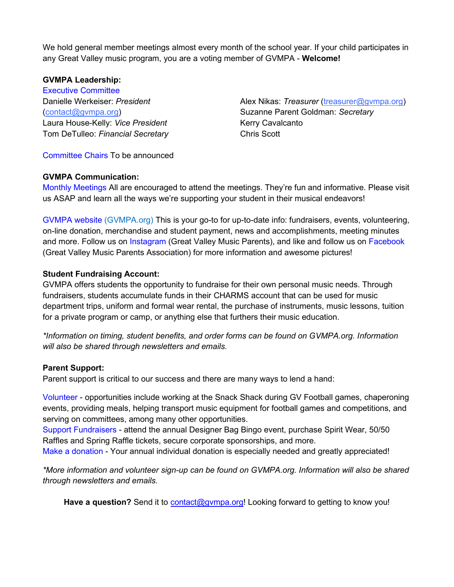We hold general member meetings almost every month of the school year. If your child participates in any Great Valley music program, you are a voting member of GVMPA - **Welcome!**

## **GVMPA Leadership:**

Executive Committee Danielle Werkeiser: *President* [\(contact@gvmpa.org\)](about:blank) Laura House-Kelly: *Vice President* Tom DeTulleo: *Financial Secretary*

Alex Nikas: *Treasurer* [\(treasurer@gvmpa.org\)](about:blank) Suzanne Parent Goldman: *Secretary* Kerry Cavalcanto Chris Scott

Committee Chairs To be announced

## **GVMPA Communication:**

Monthly Meetings All are encouraged to attend the meetings. They're fun and informative. Please visit us ASAP and learn all the ways we're supporting your student in their musical endeavors!

GVMPA website (GVMPA.org) This is your go-to for up-to-date info: fundraisers, events, volunteering, on-line donation, merchandise and student payment, news and accomplishments, meeting minutes and more. Follow us on Instagram (Great Valley Music Parents), and like and follow us on Facebook (Great Valley Music Parents Association) for more information and awesome pictures!

## **Student Fundraising Account:**

GVMPA offers students the opportunity to fundraise for their own personal music needs. Through fundraisers, students accumulate funds in their CHARMS account that can be used for music department trips, uniform and formal wear rental, the purchase of instruments, music lessons, tuition for a private program or camp, or anything else that furthers their music education.

*\*Information on timing, student benefits, and order forms can be found on GVMPA.org. Information will also be shared through newsletters and emails.*

### **Parent Support:**

Parent support is critical to our success and there are many ways to lend a hand:

Volunteer - opportunities include working at the Snack Shack during GV Football games, chaperoning events, providing meals, helping transport music equipment for football games and competitions, and serving on committees, among many other opportunities.

Support Fundraisers - attend the annual Designer Bag Bingo event, purchase Spirit Wear, 50/50 Raffles and Spring Raffle tickets, secure corporate sponsorships, and more.

Make a donation - Your annual individual donation is especially needed and greatly appreciated!

*\*More information and volunteer sign-up can be found on GVMPA.org. Information will also be shared through newsletters and emails.*

Have a question? Send it to contact@gympa.org! Looking forward to getting to know you!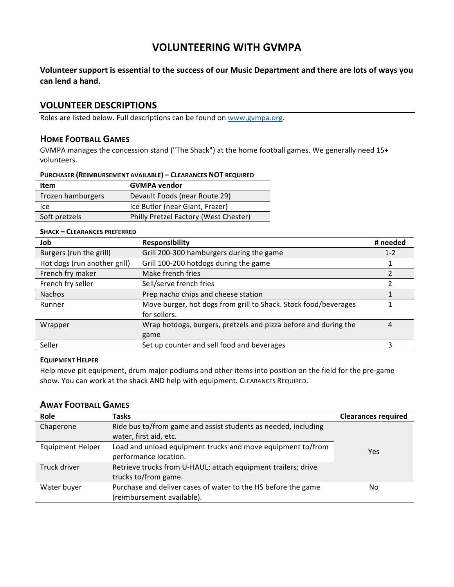# **VOLUNTEERING WITH GVMPA**

Volunteer support is essential to the success of our Music Department and there are lots of ways you can lend a hand.

## **VOLUNTEER DESCRIPTIONS**

Roles are listed below. Full descriptions can be found on www.gvmpa.org.

## **HOME FOOTBALL GAMES**

GVMPA manages the concession stand ("The Shack") at the home football games. We generally need 15+ volunteers.

| Item              | <b>GVMPA</b> vendor                   |
|-------------------|---------------------------------------|
| Frozen hamburgers | Devault Foods (near Route 29)         |
| <b>Ice</b>        | Ice Butler (near Giant, Frazer)       |
| Soft pretzels     | Philly Pretzel Factory (West Chester) |

#### **PURCHASER (REIMBURSEMENT AVAILABLE) – CLEARANCES NOT REQUIRED**

#### **SHACK – CLEARANCES PREFERRED**

| Job                          | <b>Responsibility</b>                                           | # needed |
|------------------------------|-----------------------------------------------------------------|----------|
| Burgers (run the grill)      | Grill 200-300 hamburgers during the game                        | $1 - 2$  |
| Hot dogs (run another grill) | Grill 100-200 hotdogs during the game                           |          |
| French fry maker             | Make french fries                                               |          |
| French fry seller            | Sell/serve french fries                                         |          |
| <b>Nachos</b>                | Prep nacho chips and cheese station                             |          |
| Runner                       | Move burger, hot dogs from grill to Shack. Stock food/beverages |          |
|                              | for sellers.                                                    |          |
| Wrapper                      | Wrap hotdogs, burgers, pretzels and pizza before and during the | 4        |
|                              | game                                                            |          |
| Seller                       | Set up counter and sell food and beverages                      |          |

#### **EQUIPMENT HELPER**

Help move pit equipment, drum major podiums and other items into position on the field for the pre-game show. You can work at the shack AND help with equipment. CLEARANCES REQUIRED.

## **AWAY FOOTBALL GAMES**

| Role                    | Tasks                                                                                       | <b>Clearances required</b> |
|-------------------------|---------------------------------------------------------------------------------------------|----------------------------|
| Chaperone               | Ride bus to/from game and assist students as needed, including<br>water, first aid, etc.    |                            |
| <b>Equipment Helper</b> | Load and unload equipment trucks and move equipment to/from<br>performance location.        | Yes                        |
| Truck driver            | Retrieve trucks from U-HAUL; attach equipment trailers; drive<br>trucks to/from game.       |                            |
| Water buyer             | Purchase and deliver cases of water to the HS before the game<br>(reimbursement available). | No                         |